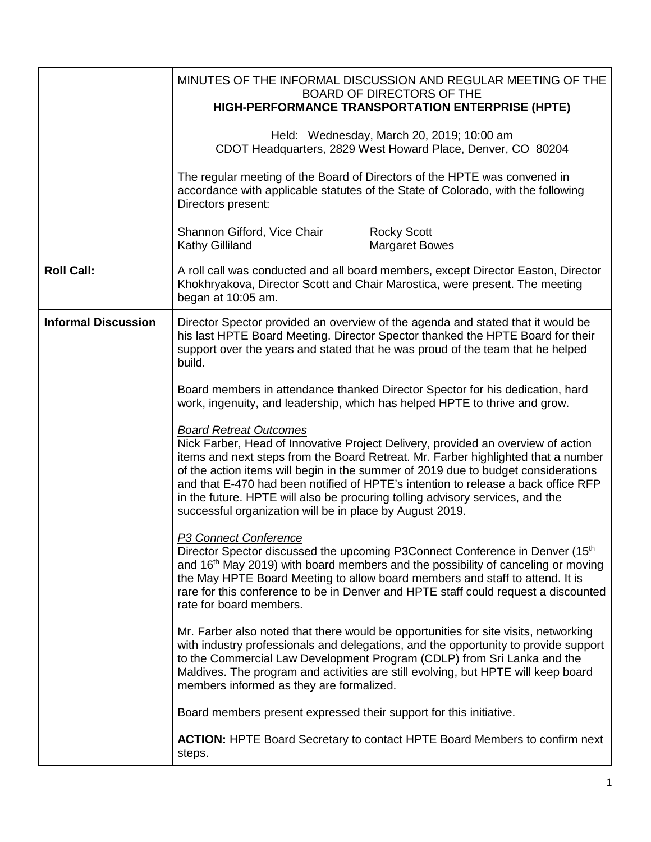|                            |                                                                                                                                                                                                                                                                                                                                                                                                                                                                                                                               | MINUTES OF THE INFORMAL DISCUSSION AND REGULAR MEETING OF THE<br><b>BOARD OF DIRECTORS OF THE</b><br>HIGH-PERFORMANCE TRANSPORTATION ENTERPRISE (HPTE)                                                                                                                                                                                     |
|----------------------------|-------------------------------------------------------------------------------------------------------------------------------------------------------------------------------------------------------------------------------------------------------------------------------------------------------------------------------------------------------------------------------------------------------------------------------------------------------------------------------------------------------------------------------|--------------------------------------------------------------------------------------------------------------------------------------------------------------------------------------------------------------------------------------------------------------------------------------------------------------------------------------------|
|                            |                                                                                                                                                                                                                                                                                                                                                                                                                                                                                                                               | Held: Wednesday, March 20, 2019; 10:00 am<br>CDOT Headquarters, 2829 West Howard Place, Denver, CO 80204                                                                                                                                                                                                                                   |
|                            | Directors present:                                                                                                                                                                                                                                                                                                                                                                                                                                                                                                            | The regular meeting of the Board of Directors of the HPTE was convened in<br>accordance with applicable statutes of the State of Colorado, with the following                                                                                                                                                                              |
|                            | Shannon Gifford, Vice Chair<br>Kathy Gilliland                                                                                                                                                                                                                                                                                                                                                                                                                                                                                | <b>Rocky Scott</b><br><b>Margaret Bowes</b>                                                                                                                                                                                                                                                                                                |
| <b>Roll Call:</b>          | began at 10:05 am.                                                                                                                                                                                                                                                                                                                                                                                                                                                                                                            | A roll call was conducted and all board members, except Director Easton, Director<br>Khokhryakova, Director Scott and Chair Marostica, were present. The meeting                                                                                                                                                                           |
| <b>Informal Discussion</b> | Director Spector provided an overview of the agenda and stated that it would be<br>his last HPTE Board Meeting. Director Spector thanked the HPTE Board for their<br>support over the years and stated that he was proud of the team that he helped<br>build.                                                                                                                                                                                                                                                                 |                                                                                                                                                                                                                                                                                                                                            |
|                            | Board members in attendance thanked Director Spector for his dedication, hard<br>work, ingenuity, and leadership, which has helped HPTE to thrive and grow.                                                                                                                                                                                                                                                                                                                                                                   |                                                                                                                                                                                                                                                                                                                                            |
|                            | <b>Board Retreat Outcomes</b><br>Nick Farber, Head of Innovative Project Delivery, provided an overview of action<br>items and next steps from the Board Retreat. Mr. Farber highlighted that a number<br>of the action items will begin in the summer of 2019 due to budget considerations<br>and that E-470 had been notified of HPTE's intention to release a back office RFP<br>in the future. HPTE will also be procuring tolling advisory services, and the<br>successful organization will be in place by August 2019. |                                                                                                                                                                                                                                                                                                                                            |
|                            | P3 Connect Conference<br>Director Spector discussed the upcoming P3Connect Conference in Denver (15 <sup>th</sup> )<br>and 16 <sup>th</sup> May 2019) with board members and the possibility of canceling or moving<br>the May HPTE Board Meeting to allow board members and staff to attend. It is<br>rare for this conference to be in Denver and HPTE staff could request a discounted<br>rate for board members.                                                                                                          |                                                                                                                                                                                                                                                                                                                                            |
|                            | members informed as they are formalized.                                                                                                                                                                                                                                                                                                                                                                                                                                                                                      | Mr. Farber also noted that there would be opportunities for site visits, networking<br>with industry professionals and delegations, and the opportunity to provide support<br>to the Commercial Law Development Program (CDLP) from Sri Lanka and the<br>Maldives. The program and activities are still evolving, but HPTE will keep board |
|                            | Board members present expressed their support for this initiative.                                                                                                                                                                                                                                                                                                                                                                                                                                                            |                                                                                                                                                                                                                                                                                                                                            |
|                            | steps.                                                                                                                                                                                                                                                                                                                                                                                                                                                                                                                        | <b>ACTION:</b> HPTE Board Secretary to contact HPTE Board Members to confirm next                                                                                                                                                                                                                                                          |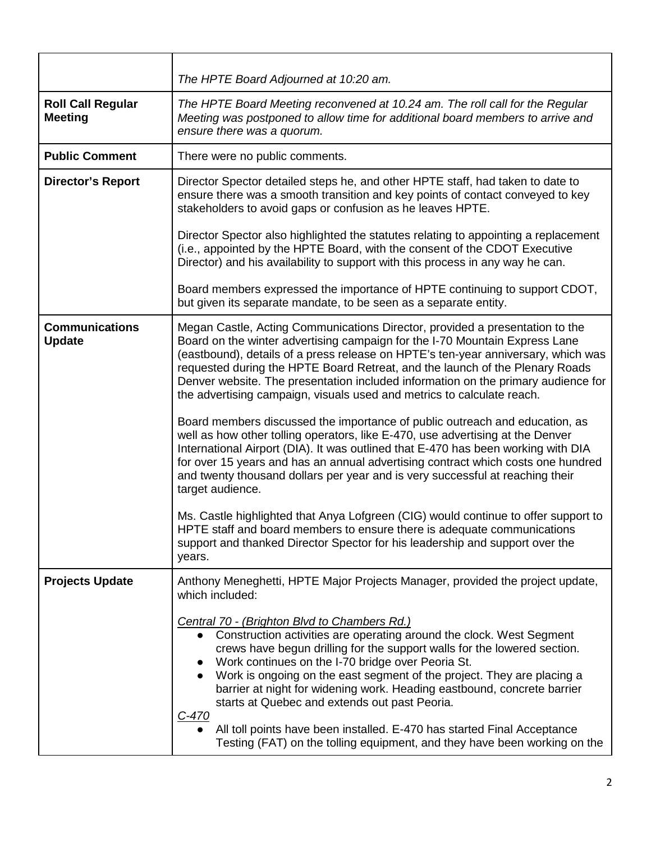|                                            | The HPTE Board Adjourned at 10:20 am.                                                                                                                                                                                                                                                                                                                                                                                                                                                                                                                                                                                                       |
|--------------------------------------------|---------------------------------------------------------------------------------------------------------------------------------------------------------------------------------------------------------------------------------------------------------------------------------------------------------------------------------------------------------------------------------------------------------------------------------------------------------------------------------------------------------------------------------------------------------------------------------------------------------------------------------------------|
| <b>Roll Call Regular</b><br><b>Meeting</b> | The HPTE Board Meeting reconvened at 10.24 am. The roll call for the Regular<br>Meeting was postponed to allow time for additional board members to arrive and<br>ensure there was a quorum.                                                                                                                                                                                                                                                                                                                                                                                                                                                |
| <b>Public Comment</b>                      | There were no public comments.                                                                                                                                                                                                                                                                                                                                                                                                                                                                                                                                                                                                              |
| <b>Director's Report</b>                   | Director Spector detailed steps he, and other HPTE staff, had taken to date to<br>ensure there was a smooth transition and key points of contact conveyed to key<br>stakeholders to avoid gaps or confusion as he leaves HPTE.                                                                                                                                                                                                                                                                                                                                                                                                              |
|                                            | Director Spector also highlighted the statutes relating to appointing a replacement<br>(i.e., appointed by the HPTE Board, with the consent of the CDOT Executive<br>Director) and his availability to support with this process in any way he can.                                                                                                                                                                                                                                                                                                                                                                                         |
|                                            | Board members expressed the importance of HPTE continuing to support CDOT,<br>but given its separate mandate, to be seen as a separate entity.                                                                                                                                                                                                                                                                                                                                                                                                                                                                                              |
| <b>Communications</b><br><b>Update</b>     | Megan Castle, Acting Communications Director, provided a presentation to the<br>Board on the winter advertising campaign for the I-70 Mountain Express Lane<br>(eastbound), details of a press release on HPTE's ten-year anniversary, which was<br>requested during the HPTE Board Retreat, and the launch of the Plenary Roads<br>Denver website. The presentation included information on the primary audience for<br>the advertising campaign, visuals used and metrics to calculate reach.                                                                                                                                             |
|                                            | Board members discussed the importance of public outreach and education, as<br>well as how other tolling operators, like E-470, use advertising at the Denver<br>International Airport (DIA). It was outlined that E-470 has been working with DIA<br>for over 15 years and has an annual advertising contract which costs one hundred<br>and twenty thousand dollars per year and is very successful at reaching their<br>target audience.                                                                                                                                                                                                 |
|                                            | Ms. Castle highlighted that Anya Lofgreen (CIG) would continue to offer support to<br>HPTE staff and board members to ensure there is adequate communications<br>support and thanked Director Spector for his leadership and support over the<br>years.                                                                                                                                                                                                                                                                                                                                                                                     |
| <b>Projects Update</b>                     | Anthony Meneghetti, HPTE Major Projects Manager, provided the project update,<br>which included:                                                                                                                                                                                                                                                                                                                                                                                                                                                                                                                                            |
|                                            | Central 70 - (Brighton Blvd to Chambers Rd.)<br>Construction activities are operating around the clock. West Segment<br>$\bullet$<br>crews have begun drilling for the support walls for the lowered section.<br>Work continues on the I-70 bridge over Peoria St.<br>Work is ongoing on the east segment of the project. They are placing a<br>barrier at night for widening work. Heading eastbound, concrete barrier<br>starts at Quebec and extends out past Peoria.<br>$C-470$<br>All toll points have been installed. E-470 has started Final Acceptance<br>Testing (FAT) on the tolling equipment, and they have been working on the |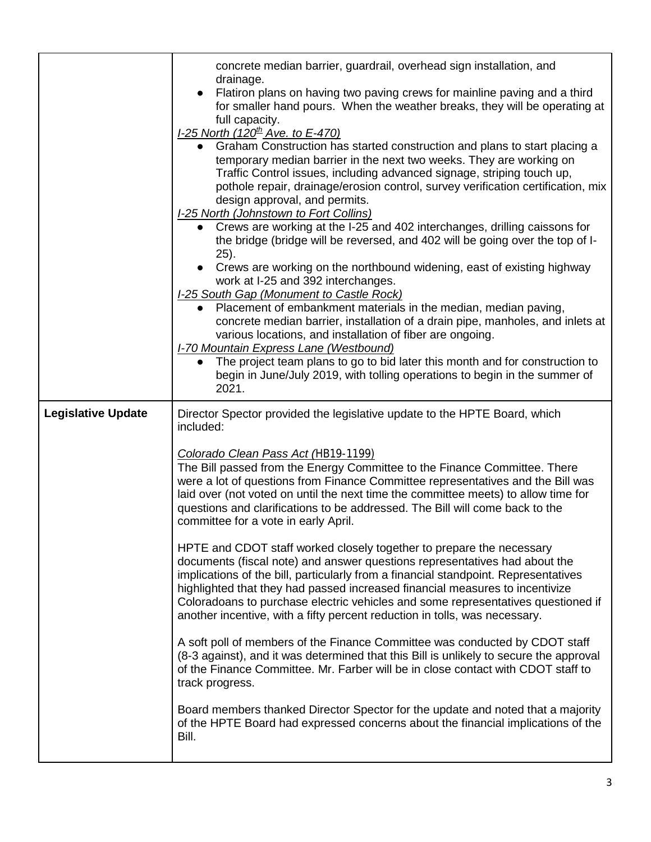|                           | concrete median barrier, guardrail, overhead sign installation, and<br>drainage.                                                                                                                                                                                                                                                                                                                                                                                                            |  |
|---------------------------|---------------------------------------------------------------------------------------------------------------------------------------------------------------------------------------------------------------------------------------------------------------------------------------------------------------------------------------------------------------------------------------------------------------------------------------------------------------------------------------------|--|
|                           | Flatiron plans on having two paving crews for mainline paving and a third<br>for smaller hand pours. When the weather breaks, they will be operating at<br>full capacity.                                                                                                                                                                                                                                                                                                                   |  |
|                           | <u>I-25 North (120<sup>th</sup> Ave. to E-470)</u><br>Graham Construction has started construction and plans to start placing a<br>temporary median barrier in the next two weeks. They are working on<br>Traffic Control issues, including advanced signage, striping touch up,<br>pothole repair, drainage/erosion control, survey verification certification, mix<br>design approval, and permits.<br><b>I-25 North (Johnstown to Fort Collins)</b>                                      |  |
|                           | • Crews are working at the I-25 and 402 interchanges, drilling caissons for<br>the bridge (bridge will be reversed, and 402 will be going over the top of I-<br>25).                                                                                                                                                                                                                                                                                                                        |  |
|                           | Crews are working on the northbound widening, east of existing highway<br>work at I-25 and 392 interchanges.<br><b>I-25 South Gap (Monument to Castle Rock)</b>                                                                                                                                                                                                                                                                                                                             |  |
|                           | • Placement of embankment materials in the median, median paving,<br>concrete median barrier, installation of a drain pipe, manholes, and inlets at<br>various locations, and installation of fiber are ongoing.<br>I-70 Mountain Express Lane (Westbound)                                                                                                                                                                                                                                  |  |
|                           | The project team plans to go to bid later this month and for construction to<br>$\bullet$<br>begin in June/July 2019, with tolling operations to begin in the summer of<br>2021.                                                                                                                                                                                                                                                                                                            |  |
| <b>Legislative Update</b> | Director Spector provided the legislative update to the HPTE Board, which<br>included:                                                                                                                                                                                                                                                                                                                                                                                                      |  |
|                           | Colorado Clean Pass Act (HB19-1199)<br>The Bill passed from the Energy Committee to the Finance Committee. There<br>were a lot of questions from Finance Committee representatives and the Bill was<br>laid over (not voted on until the next time the committee meets) to allow time for<br>questions and clarifications to be addressed. The Bill will come back to the<br>committee for a vote in early April.                                                                           |  |
|                           | HPTE and CDOT staff worked closely together to prepare the necessary<br>documents (fiscal note) and answer questions representatives had about the<br>implications of the bill, particularly from a financial standpoint. Representatives<br>highlighted that they had passed increased financial measures to incentivize<br>Coloradoans to purchase electric vehicles and some representatives questioned if<br>another incentive, with a fifty percent reduction in tolls, was necessary. |  |
|                           | A soft poll of members of the Finance Committee was conducted by CDOT staff<br>(8-3 against), and it was determined that this Bill is unlikely to secure the approval<br>of the Finance Committee. Mr. Farber will be in close contact with CDOT staff to<br>track progress.                                                                                                                                                                                                                |  |
|                           | Board members thanked Director Spector for the update and noted that a majority<br>of the HPTE Board had expressed concerns about the financial implications of the<br>Bill.                                                                                                                                                                                                                                                                                                                |  |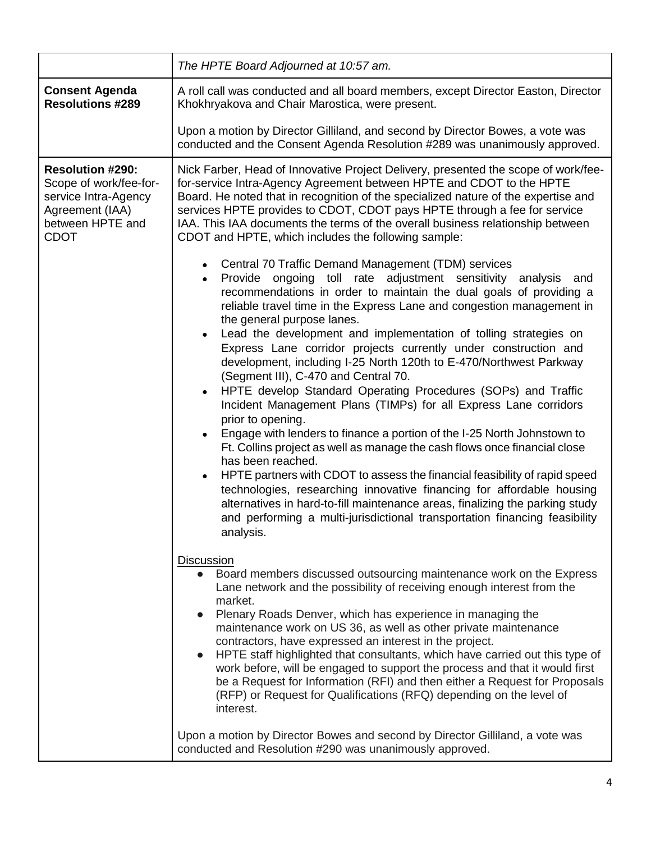|                                                                                                                                 | The HPTE Board Adjourned at 10:57 am.                                                                                                                                                                                                                                                                                                                                                                                                                                                                                                                                                                                                                                                                                                                                                                                                                                                                                                                                                                                                                                                                                                                                                                                                                                                                                                                                                                                                                                                                                                                                                                                                                                                                                                                         |  |
|---------------------------------------------------------------------------------------------------------------------------------|---------------------------------------------------------------------------------------------------------------------------------------------------------------------------------------------------------------------------------------------------------------------------------------------------------------------------------------------------------------------------------------------------------------------------------------------------------------------------------------------------------------------------------------------------------------------------------------------------------------------------------------------------------------------------------------------------------------------------------------------------------------------------------------------------------------------------------------------------------------------------------------------------------------------------------------------------------------------------------------------------------------------------------------------------------------------------------------------------------------------------------------------------------------------------------------------------------------------------------------------------------------------------------------------------------------------------------------------------------------------------------------------------------------------------------------------------------------------------------------------------------------------------------------------------------------------------------------------------------------------------------------------------------------------------------------------------------------------------------------------------------------|--|
| <b>Consent Agenda</b><br><b>Resolutions #289</b>                                                                                | A roll call was conducted and all board members, except Director Easton, Director<br>Khokhryakova and Chair Marostica, were present.                                                                                                                                                                                                                                                                                                                                                                                                                                                                                                                                                                                                                                                                                                                                                                                                                                                                                                                                                                                                                                                                                                                                                                                                                                                                                                                                                                                                                                                                                                                                                                                                                          |  |
|                                                                                                                                 | Upon a motion by Director Gilliland, and second by Director Bowes, a vote was<br>conducted and the Consent Agenda Resolution #289 was unanimously approved.                                                                                                                                                                                                                                                                                                                                                                                                                                                                                                                                                                                                                                                                                                                                                                                                                                                                                                                                                                                                                                                                                                                                                                                                                                                                                                                                                                                                                                                                                                                                                                                                   |  |
| <b>Resolution #290:</b><br>Scope of work/fee-for-<br>service Intra-Agency<br>Agreement (IAA)<br>between HPTE and<br><b>CDOT</b> | Nick Farber, Head of Innovative Project Delivery, presented the scope of work/fee-<br>for-service Intra-Agency Agreement between HPTE and CDOT to the HPTE<br>Board. He noted that in recognition of the specialized nature of the expertise and<br>services HPTE provides to CDOT, CDOT pays HPTE through a fee for service<br>IAA. This IAA documents the terms of the overall business relationship between<br>CDOT and HPTE, which includes the following sample:                                                                                                                                                                                                                                                                                                                                                                                                                                                                                                                                                                                                                                                                                                                                                                                                                                                                                                                                                                                                                                                                                                                                                                                                                                                                                         |  |
|                                                                                                                                 | Central 70 Traffic Demand Management (TDM) services<br>$\bullet$<br>Provide ongoing toll rate adjustment sensitivity analysis and<br>$\bullet$<br>recommendations in order to maintain the dual goals of providing a<br>reliable travel time in the Express Lane and congestion management in<br>the general purpose lanes.<br>Lead the development and implementation of tolling strategies on<br>$\bullet$<br>Express Lane corridor projects currently under construction and<br>development, including I-25 North 120th to E-470/Northwest Parkway<br>(Segment III), C-470 and Central 70.<br>HPTE develop Standard Operating Procedures (SOPs) and Traffic<br>$\bullet$<br>Incident Management Plans (TIMPs) for all Express Lane corridors<br>prior to opening.<br>Engage with lenders to finance a portion of the I-25 North Johnstown to<br>Ft. Collins project as well as manage the cash flows once financial close<br>has been reached.<br>HPTE partners with CDOT to assess the financial feasibility of rapid speed<br>$\bullet$<br>technologies, researching innovative financing for affordable housing<br>alternatives in hard-to-fill maintenance areas, finalizing the parking study<br>and performing a multi-jurisdictional transportation financing feasibility<br>analysis.<br><b>Discussion</b><br>Board members discussed outsourcing maintenance work on the Express<br>Lane network and the possibility of receiving enough interest from the<br>market.<br>Plenary Roads Denver, which has experience in managing the<br>maintenance work on US 36, as well as other private maintenance<br>contractors, have expressed an interest in the project.<br>HPTE staff highlighted that consultants, which have carried out this type of |  |
|                                                                                                                                 | work before, will be engaged to support the process and that it would first<br>be a Request for Information (RFI) and then either a Request for Proposals<br>(RFP) or Request for Qualifications (RFQ) depending on the level of<br>interest.<br>Upon a motion by Director Bowes and second by Director Gilliland, a vote was                                                                                                                                                                                                                                                                                                                                                                                                                                                                                                                                                                                                                                                                                                                                                                                                                                                                                                                                                                                                                                                                                                                                                                                                                                                                                                                                                                                                                                 |  |
|                                                                                                                                 | conducted and Resolution #290 was unanimously approved.                                                                                                                                                                                                                                                                                                                                                                                                                                                                                                                                                                                                                                                                                                                                                                                                                                                                                                                                                                                                                                                                                                                                                                                                                                                                                                                                                                                                                                                                                                                                                                                                                                                                                                       |  |